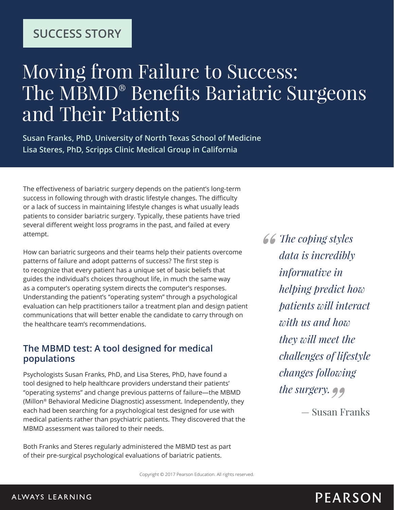### **SUCCESS STORY**

# Moving from Failure to Success: The MBMD® Benefits Bariatric Surgeons and Their Patients

**Susan Franks, PhD, University of North Texas School of Medicine Lisa Steres, PhD, Scripps Clinic Medical Group in California**

The effectiveness of bariatric surgery depends on the patient's long-term success in following through with drastic lifestyle changes. The difficulty or a lack of success in maintaining lifestyle changes is what usually leads patients to consider bariatric surgery. Typically, these patients have tried several different weight loss programs in the past, and failed at every attempt.

How can bariatric surgeons and their teams help their patients overcome patterns of failure and adopt patterns of success? The first step is to recognize that every patient has a unique set of basic beliefs that guides the individual's choices throughout life, in much the same way as a computer's operating system directs the computer's responses. Understanding the patient's "operating system" through a psychological evaluation can help practitioners tailor a treatment plan and design patient communications that will better enable the candidate to carry through on the healthcare team's recommendations.

#### **The MBMD test: A tool designed for medical populations**

Psychologists Susan Franks, PhD, and Lisa Steres, PhD, have found a tool designed to help healthcare providers understand their patients' "operating systems" and change previous patterns of failure—the MBMD (Millon® Behavioral Medicine Diagnostic) assessment. Independently, they each had been searching for a psychological test designed for use with medical patients rather than psychiatric patients. They discovered that the MBMD assessment was tailored to their needs.

Both Franks and Steres regularly administered the MBMD test as part of their pre-surgical psychological evaluations of bariatric patients.

*The coping styles data is incredibly informative in helping predict how patients will interact with us and how they will meet the challenges of lifestyle changes following the surgery.*

— Susan Franks

Copyright © 2017 Pearson Education. All rights reserved.

### **PEARSON**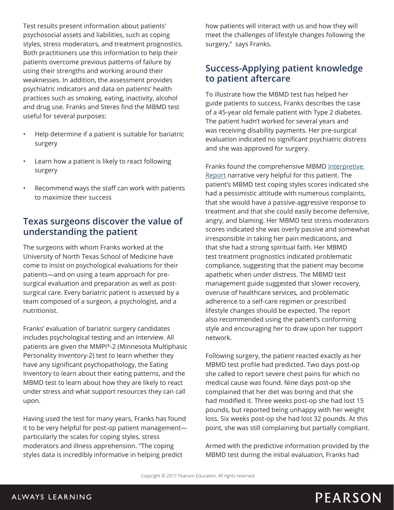Test results present information about patients' psychosocial assets and liabilities, such as coping styles, stress moderators, and treatment prognostics. Both practitioners use this information to help their patients overcome previous patterns of failure by using their strengths and working around their weaknesses. In addition, the assessment provides psychiatric indicators and data on patients' health practices such as smoking, eating, inactivity, alcohol and drug use. Franks and Steres find the MBMD test useful for several purposes:

- Help determine if a patient is suitable for bariatric surgery
- Learn how a patient is likely to react following surgery
- Recommend ways the staff can work with patients to maximize their success

#### **Texas surgeons discover the value of understanding the patient**

The surgeons with whom Franks worked at the University of North Texas School of Medicine have come to insist on psychological evaluations for their patients—and on using a team approach for presurgical evaluation and preparation as well as postsurgical care. Every bariatric patient is assessed by a team composed of a surgeon, a psychologist, and a nutritionist.

Franks' evaluation of bariatric surgery candidates includes psychological testing and an interview. All patients are given the MMPI®-2 (Minnesota Multiphasic Personality Inventory-2) test to learn whether they have any significant psychopathology, the Eating Inventory to learn about their eating patterns, and the MBMD test to learn about how they are likely to react under stress and what support resources they can call upon.

Having used the test for many years, Franks has found it to be very helpful for post-op patient management particularly the scales for coping styles, stress moderators and illness apprehension. "The coping styles data is incredibly informative in helping predict

how patients will interact with us and how they will meet the challenges of lifestyle changes following the surgery," says Franks.

#### **Success-Applying patient knowledge to patient aftercare**

To illustrate how the MBMD test has helped her guide patients to success, Franks describes the case of a 45-year old female patient with Type 2 diabetes. The patient hadn't worked for several years and was receiving disability payments. Her pre-surgical evaluation indicated no significant psychiatric distress and she was approved for surgery.

Franks found the comprehensive MBMD Interpretive [Report](http://images.pearsonclinical.com/images/Assets/MBMD/MBMD_InterpBariatric.pdf) narrative very helpful for this patient. The patient's MBMD test coping styles scores indicated she had a pessimistic attitude with numerous complaints, that she would have a passive-aggressive response to treatment and that she could easily become defensive, angry, and blaming. Her MBMD test stress moderators scores indicated she was overly passive and somewhat irresponsible in taking her pain medications, and that she had a strong spiritual faith. Her MBMD test treatment prognostics indicated problematic compliance, suggesting that the patient may become apathetic when under distress. The MBMD test management guide suggested that slower recovery, overuse of healthcare services, and problematic adherence to a self-care regimen or prescribed lifestyle changes should be expected. The report also recommended using the patient's conforming style and encouraging her to draw upon her support network.

Following surgery, the patient reacted exactly as her MBMD test profile had predicted. Two days post-op she called to report severe chest pains for which no medical cause was found. Nine days post-op she complained that her diet was boring and that she had modified it. Three weeks post-op she had lost 15 pounds, but reported being unhappy with her weight loss. Six weeks post-op she had lost 32 pounds. At this point, she was still complaining but partially compliant.

Armed with the predictive information provided by the MBMD test during the initial evaluation, Franks had

Copyright © 2017 Pearson Education. All rights reserved.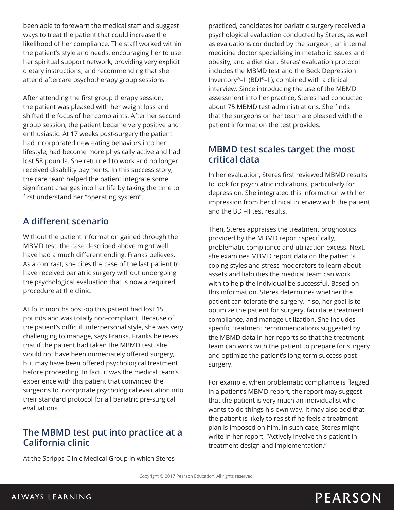been able to forewarn the medical staff and suggest ways to treat the patient that could increase the likelihood of her compliance. The staff worked within the patient's style and needs, encouraging her to use her spiritual support network, providing very explicit dietary instructions, and recommending that she attend aftercare psychotherapy group sessions.

After attending the first group therapy session, the patient was pleased with her weight loss and shifted the focus of her complaints. After her second group session, the patient became very positive and enthusiastic. At 17 weeks post-surgery the patient had incorporated new eating behaviors into her lifestyle, had become more physically active and had lost 58 pounds. She returned to work and no longer received disability payments. In this success story, the care team helped the patient integrate some significant changes into her life by taking the time to first understand her "operating system".

#### **A different scenario**

Without the patient information gained through the MBMD test, the case described above might well have had a much different ending, Franks believes. As a contrast, she cites the case of the last patient to have received bariatric surgery without undergoing the psychological evaluation that is now a required procedure at the clinic.

At four months post-op this patient had lost 15 pounds and was totally non-compliant. Because of the patient's difficult interpersonal style, she was very challenging to manage, says Franks. Franks believes that if the patient had taken the MBMD test, she would not have been immediately offered surgery, but may have been offered psychological treatment before proceeding. In fact, it was the medical team's experience with this patient that convinced the surgeons to incorporate psychological evaluation into their standard protocol for all bariatric pre-surgical evaluations.

#### **The MBMD test put into practice at a California clinic**

At the Scripps Clinic Medical Group in which Steres

practiced, candidates for bariatric surgery received a psychological evaluation conducted by Steres, as well as evaluations conducted by the surgeon, an internal medicine doctor specializing in metabolic issues and obesity, and a dietician. Steres' evaluation protocol includes the MBMD test and the Beck Depression Inventory®–II (BDI®–II), combined with a clinical interview. Since introducing the use of the MBMD assessment into her practice, Steres had conducted about 75 MBMD test administrations. She finds that the surgeons on her team are pleased with the patient information the test provides.

#### **MBMD test scales target the most critical data**

In her evaluation, Steres first reviewed MBMD results to look for psychiatric indications, particularly for depression. She integrated this information with her impression from her clinical interview with the patient and the BDI–II test results.

Then, Steres appraises the treatment prognostics provided by the MBMD report; specifically, problematic compliance and utilization excess. Next, she examines MBMD report data on the patient's coping styles and stress moderators to learn about assets and liabilities the medical team can work with to help the individual be successful. Based on this information, Steres determines whether the patient can tolerate the surgery. If so, her goal is to optimize the patient for surgery, facilitate treatment compliance, and manage utilization. She includes specific treatment recommendations suggested by the MBMD data in her reports so that the treatment team can work with the patient to prepare for surgery and optimize the patient's long-term success postsurgery.

For example, when problematic compliance is flagged in a patient's MBMD report, the report may suggest that the patient is very much an individualist who wants to do things his own way. It may also add that the patient is likely to resist if he feels a treatment plan is imposed on him. In such case, Steres might write in her report, "Actively involve this patient in treatment design and implementation."

# **PEARSON**